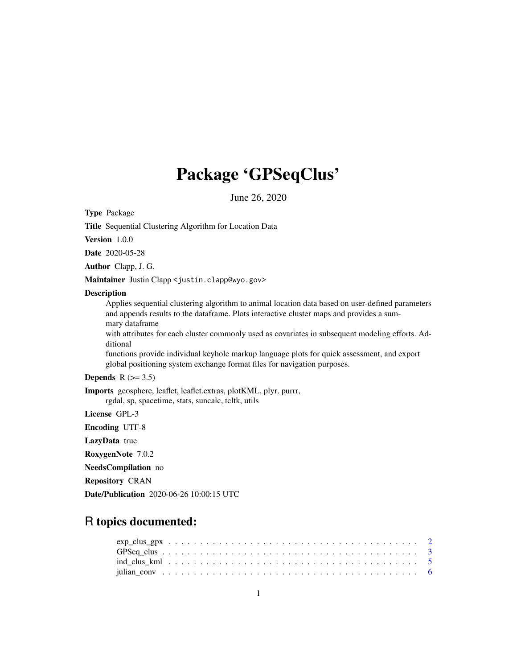## Package 'GPSeqClus'

June 26, 2020

Type Package

Title Sequential Clustering Algorithm for Location Data

Version 1.0.0

Date 2020-05-28

Author Clapp, J. G.

Maintainer Justin Clapp <justin.clapp@wyo.gov>

#### **Description**

Applies sequential clustering algorithm to animal location data based on user-defined parameters and appends results to the dataframe. Plots interactive cluster maps and provides a summary dataframe

with attributes for each cluster commonly used as covariates in subsequent modeling efforts. Additional

functions provide individual keyhole markup language plots for quick assessment, and export global positioning system exchange format files for navigation purposes.

#### Depends  $R$  ( $> = 3.5$ )

Imports geosphere, leaflet, leaflet.extras, plotKML, plyr, purrr, rgdal, sp, spacetime, stats, suncalc, tcltk, utils

License GPL-3

Encoding UTF-8

LazyData true

RoxygenNote 7.0.2

NeedsCompilation no

Repository CRAN

Date/Publication 2020-06-26 10:00:15 UTC

### R topics documented: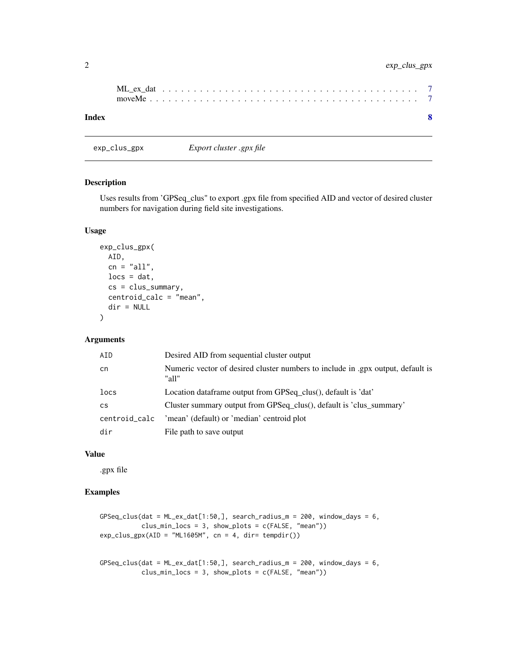#### <span id="page-1-0"></span>2 exp\_clus\_gpx

| Index |  |  |  |  |  |  |  |  |  |  |  |  |  |  |  |  |  |  |
|-------|--|--|--|--|--|--|--|--|--|--|--|--|--|--|--|--|--|--|

#### Description

Uses results from 'GPSeq\_clus" to export .gpx file from specified AID and vector of desired cluster numbers for navigation during field site investigations.

#### Usage

```
exp_clus_gpx(
  AID,
  cn = "all",\text{locs} = \text{dat},cs = clus_summary,
  centroid_calc = "mean",
  dir = NULL
)
```
exp\_clus\_gpx *Export cluster .gpx file*

#### Arguments

| AID           | Desired AID from sequential cluster output                                               |
|---------------|------------------------------------------------------------------------------------------|
| cn            | Numeric vector of desired cluster numbers to include in .gpx output, default is<br>"all" |
| locs          | Location dataframe output from GPSeq clus(), default is 'dat'                            |
| <b>CS</b>     | Cluster summary output from GPSeq_clus(), default is 'clus_summary'                      |
| centroid_calc | 'mean' (default) or 'median' centroid plot                                               |
| dir           | File path to save output                                                                 |

#### Value

.gpx file

#### Examples

```
GPSeq_clus(dat = ML-ex_data[1:50,], search\_radius_m = 200, window\_days = 6,clus_min_locs = 3, show_plots = c(FALSE, "mean"))
exp_{\text{c}lus\_gpx(AID = "ML1605M", cn = 4, dir = tempdir())GPSeq_clus(dat = ML-ex_data[1:50,], search_radius_m = 200, window_days = 6,
```

```
clus_min_locs = 3, show_plots = c(FALSE, "mean"))
```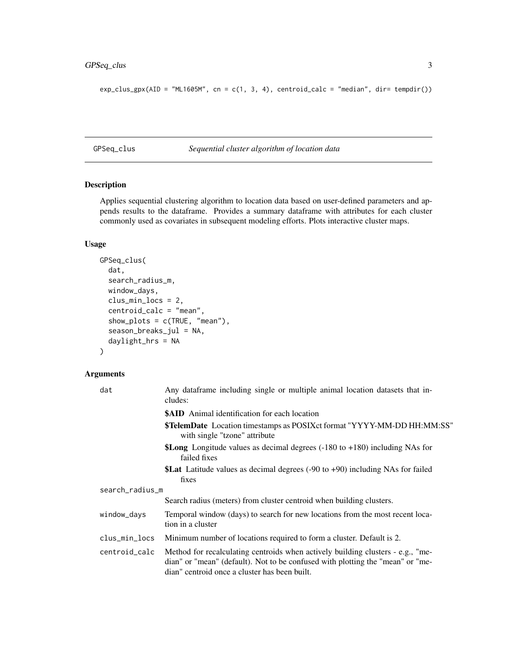#### <span id="page-2-0"></span>GPSeq\_clus 3

```
exp_{\text{c}}\text{clus\_gpx(AID = "ML1605M", cn = c(1, 3, 4), centroid\_calc = "median", dir= tempdir())
```
GPSeq\_clus *Sequential cluster algorithm of location data*

#### Description

Applies sequential clustering algorithm to location data based on user-defined parameters and appends results to the dataframe. Provides a summary dataframe with attributes for each cluster commonly used as covariates in subsequent modeling efforts. Plots interactive cluster maps.

#### Usage

```
GPSeq_clus(
  dat,
  search_radius_m,
 window_days,
  clus_min_locs = 2,
  centroid_calc = "mean",
  show_plots = c(TRUE, "mean"),season_breaks_jul = NA,
  daylight_hrs = NA
\mathcal{L}
```
#### Arguments

| dat             | Any dataframe including single or multiple animal location datasets that in-<br>cludes:                                                                                                                            |  |  |  |  |  |  |  |  |  |  |
|-----------------|--------------------------------------------------------------------------------------------------------------------------------------------------------------------------------------------------------------------|--|--|--|--|--|--|--|--|--|--|
|                 | <b>\$AID</b> Animal identification for each location                                                                                                                                                               |  |  |  |  |  |  |  |  |  |  |
|                 | \$TelemDate Location timestamps as POSIXct format "YYYY-MM-DD HH:MM:SS"<br>with single "tzone" attribute                                                                                                           |  |  |  |  |  |  |  |  |  |  |
|                 | <b>\$Long</b> Longitude values as decimal degrees $(-180 \text{ to } +180)$ including NAs for<br>failed fixes                                                                                                      |  |  |  |  |  |  |  |  |  |  |
|                 | <b>\$Lat</b> Latitude values as decimal degrees $(-90 \text{ to } +90)$ including NAs for failed<br>fixes                                                                                                          |  |  |  |  |  |  |  |  |  |  |
| search_radius_m |                                                                                                                                                                                                                    |  |  |  |  |  |  |  |  |  |  |
|                 | Search radius (meters) from cluster centroid when building clusters.                                                                                                                                               |  |  |  |  |  |  |  |  |  |  |
| window_days     | Temporal window (days) to search for new locations from the most recent loca-<br>tion in a cluster                                                                                                                 |  |  |  |  |  |  |  |  |  |  |
| clus_min_locs   | Minimum number of locations required to form a cluster. Default is 2.                                                                                                                                              |  |  |  |  |  |  |  |  |  |  |
| centroid_calc   | Method for recalculating centroids when actively building clusters - e.g., "me-<br>dian" or "mean" (default). Not to be confused with plotting the "mean" or "me-<br>dian" centroid once a cluster has been built. |  |  |  |  |  |  |  |  |  |  |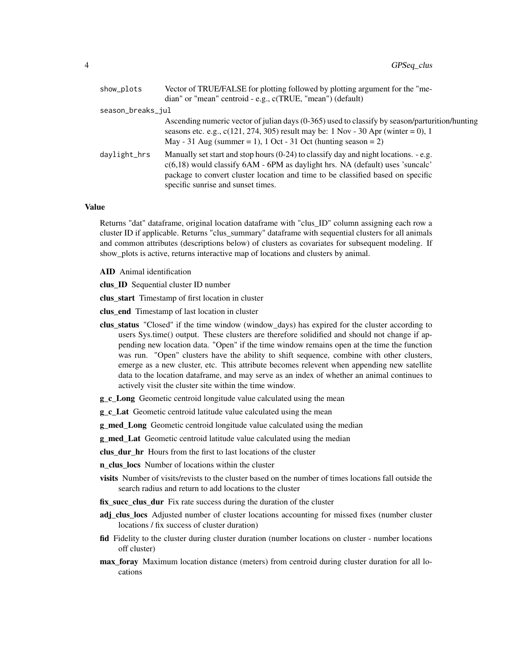| show_plots        | Vector of TRUE/FALSE for plotting followed by plotting argument for the "me-                                                                                                                                                                                                                         |
|-------------------|------------------------------------------------------------------------------------------------------------------------------------------------------------------------------------------------------------------------------------------------------------------------------------------------------|
|                   | dian" or "mean" centroid - e.g., c(TRUE, "mean") (default)                                                                                                                                                                                                                                           |
| season_breaks_jul |                                                                                                                                                                                                                                                                                                      |
|                   | Ascending numeric vector of julian days (0-365) used to classify by season/parturition/hunting<br>seasons etc. e.g., $c(121, 274, 305)$ result may be: 1 Nov - 30 Apr (winter = 0), 1<br>May - 31 Aug (summer = 1), 1 Oct - 31 Oct (hunting season = 2)                                              |
| daylight_hrs      | Manually set start and stop hours $(0-24)$ to classify day and night locations. - e.g.<br>$c(6,18)$ would classify $6AM - 6PM$ as daylight hrs. NA (default) uses 'suncalc'<br>package to convert cluster location and time to be classified based on specific<br>specific sunrise and sunset times. |

#### Value

Returns "dat" dataframe, original location dataframe with "clus\_ID" column assigning each row a cluster ID if applicable. Returns "clus\_summary" dataframe with sequential clusters for all animals and common attributes (descriptions below) of clusters as covariates for subsequent modeling. If show\_plots is active, returns interactive map of locations and clusters by animal.

AID Animal identification

clus ID Sequential cluster ID number

clus start Timestamp of first location in cluster

clus\_end Timestamp of last location in cluster

- clus\_status "Closed" if the time window (window\_days) has expired for the cluster according to users Sys.time() output. These clusters are therefore solidified and should not change if appending new location data. "Open" if the time window remains open at the time the function was run. "Open" clusters have the ability to shift sequence, combine with other clusters, emerge as a new cluster, etc. This attribute becomes relevent when appending new satellite data to the location dataframe, and may serve as an index of whether an animal continues to actively visit the cluster site within the time window.
- g\_c\_Long Geometic centroid longitude value calculated using the mean

g\_c\_Lat Geometic centroid latitude value calculated using the mean

**g\_med\_Long** Geometic centroid longitude value calculated using the median

**g\_med\_Lat** Geometic centroid latitude value calculated using the median

clus dur hr Hours from the first to last locations of the cluster

n\_clus\_locs Number of locations within the cluster

- visits Number of visits/revists to the cluster based on the number of times locations fall outside the search radius and return to add locations to the cluster
- fix\_succ\_clus\_dur Fix rate success during the duration of the cluster
- adj clus locs Adjusted number of cluster locations accounting for missed fixes (number cluster locations / fix success of cluster duration)
- fid Fidelity to the cluster during cluster duration (number locations on cluster number locations off cluster)
- max foray Maximum location distance (meters) from centroid during cluster duration for all locations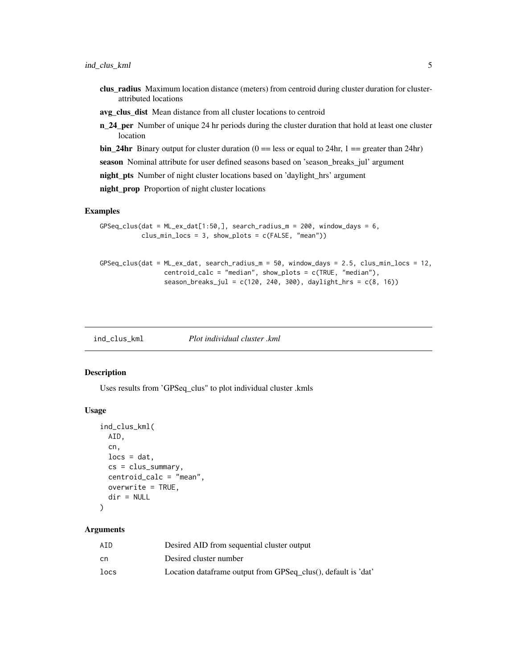- <span id="page-4-0"></span>clus\_radius Maximum location distance (meters) from centroid during cluster duration for clusterattributed locations
- avg\_clus\_dist Mean distance from all cluster locations to centroid
- n\_24\_per Number of unique 24 hr periods during the cluster duration that hold at least one cluster location
- **bin\_24hr** Binary output for cluster duration ( $0 =$  less or equal to 24hr, 1 = greater than 24hr)

season Nominal attribute for user defined seasons based on 'season\_breaks\_jul' argument

night\_pts Number of night cluster locations based on 'daylight\_hrs' argument

night\_prop Proportion of night cluster locations

#### Examples

```
GPSeq_clus(dat = ML_ex_data[1:50,], search_radius_m = 200, window_days = 6,clus\_min\_locs = 3, show_plots = c(FALSE, "mean"))GPSeq\_clus(data = ML_ex_data, search_radius_m = 50, window_days = 2.5, clus\_min\_locs = 12,centroid_calc = "median", show_plots = c(TRUE, "median"),
                 season_breaks_jul = c(120, 240, 300), daylight_hrs = c(8, 16))
```
ind\_clus\_kml *Plot individual cluster .kml*

#### Description

Uses results from 'GPSeq\_clus" to plot individual cluster .kmls

#### Usage

```
ind_clus_kml(
  AID,
  cn,
  \text{locs} = \text{dat},
  cs = clus_summary,
  centroid_calc = "mean",
  overwrite = TRUE,
  dir = NULL
)
```
#### Arguments

| ATD  | Desired AID from sequential cluster output                    |
|------|---------------------------------------------------------------|
| cn   | Desired cluster number                                        |
| locs | Location dataframe output from GPSeq_clus(), default is 'dat' |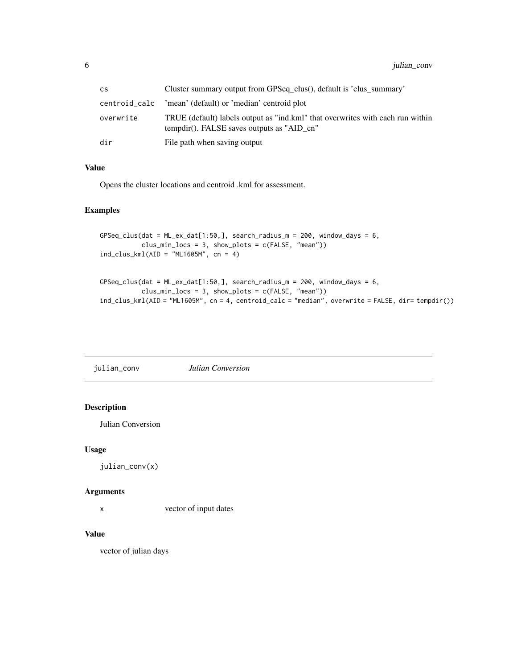<span id="page-5-0"></span>

| <b>CS</b>     | Cluster summary output from GPSeq_clus(), default is 'clus_summary'                                                          |
|---------------|------------------------------------------------------------------------------------------------------------------------------|
| centroid_calc | 'mean' (default) or 'median' centroid plot                                                                                   |
| overwrite     | TRUE (default) labels output as "ind.kml" that overwrites with each run within<br>tempdir(). FALSE saves outputs as "AID cn" |
| dir           | File path when saving output                                                                                                 |

#### Value

Opens the cluster locations and centroid .kml for assessment.

#### Examples

```
GPSeq_clus(dat = ML_ex_data[1:50,], search_radius_m = 200, window_days = 6,clus_min_locs = 3, show_plots = c(FALSE, "mean"))ind_clus_kml(AID = "ML1605M", cn = 4)
```

```
GPSeq_clus(dat = ML_ex_data[1:50,], search_radius_m = 200, window_days = 6,clus\_min\_locs = 3, show_plots = c(FALSE, "mean"))ind_clus_kml(AID = "ML1605M", cn = 4, centroid_calc = "median", overwrite = FALSE, dir= tempdir())
```
julian\_conv *Julian Conversion*

#### Description

Julian Conversion

#### Usage

```
julian_conv(x)
```
#### Arguments

x vector of input dates

#### Value

vector of julian days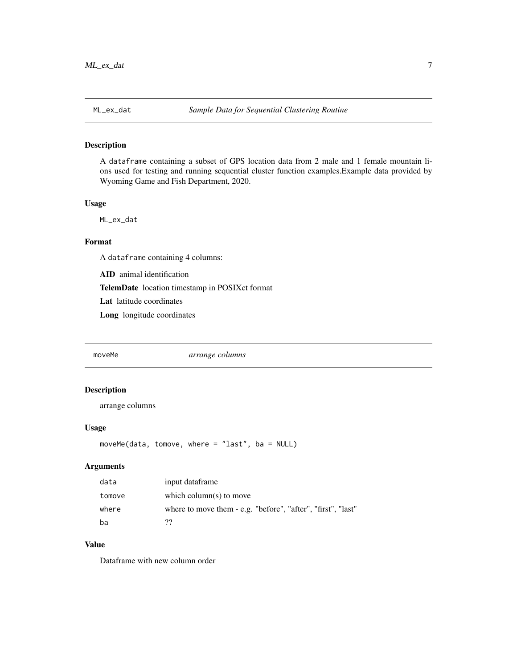#### <span id="page-6-0"></span>Description

A dataframe containing a subset of GPS location data from 2 male and 1 female mountain lions used for testing and running sequential cluster function examples.Example data provided by Wyoming Game and Fish Department, 2020.

#### Usage

ML\_ex\_dat

#### Format

A dataframe containing 4 columns:

AID animal identification

TelemDate location timestamp in POSIXct format

Lat latitude coordinates

Long longitude coordinates

moveMe *arrange columns*

#### Description

arrange columns

#### Usage

moveMe(data, tomove, where = "last", ba = NULL)

#### Arguments

| data   | input dataframe                                              |
|--------|--------------------------------------------------------------|
| tomove | which column(s) to move                                      |
| where  | where to move them - e.g. "before", "after", "first", "last" |
| ba     | າາ                                                           |

#### Value

Dataframe with new column order